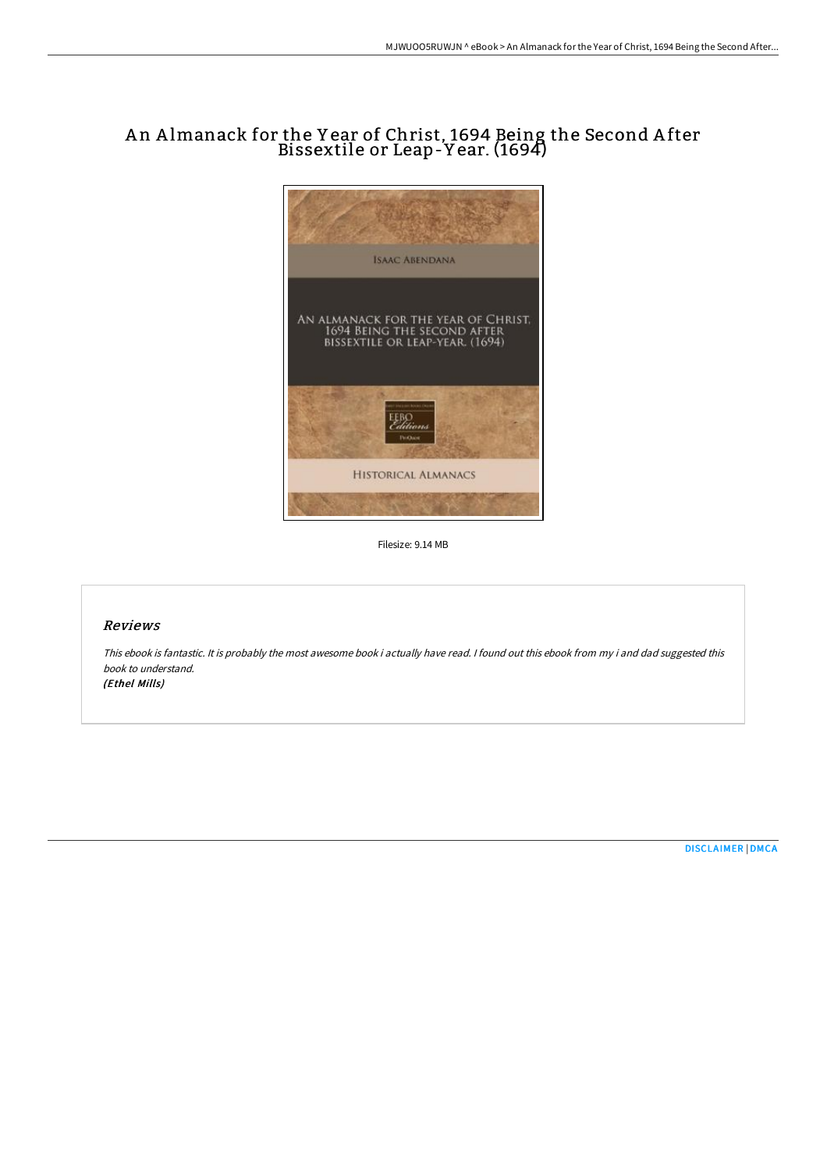## An Almanack for the Year of Christ, 1694 Being the Second After Bissextile or Leap-Y ear. (1694)



Filesize: 9.14 MB

## Reviews

This ebook is fantastic. It is probably the most awesome book i actually have read. <sup>I</sup> found out this ebook from my i and dad suggested this book to understand. (Ethel Mills)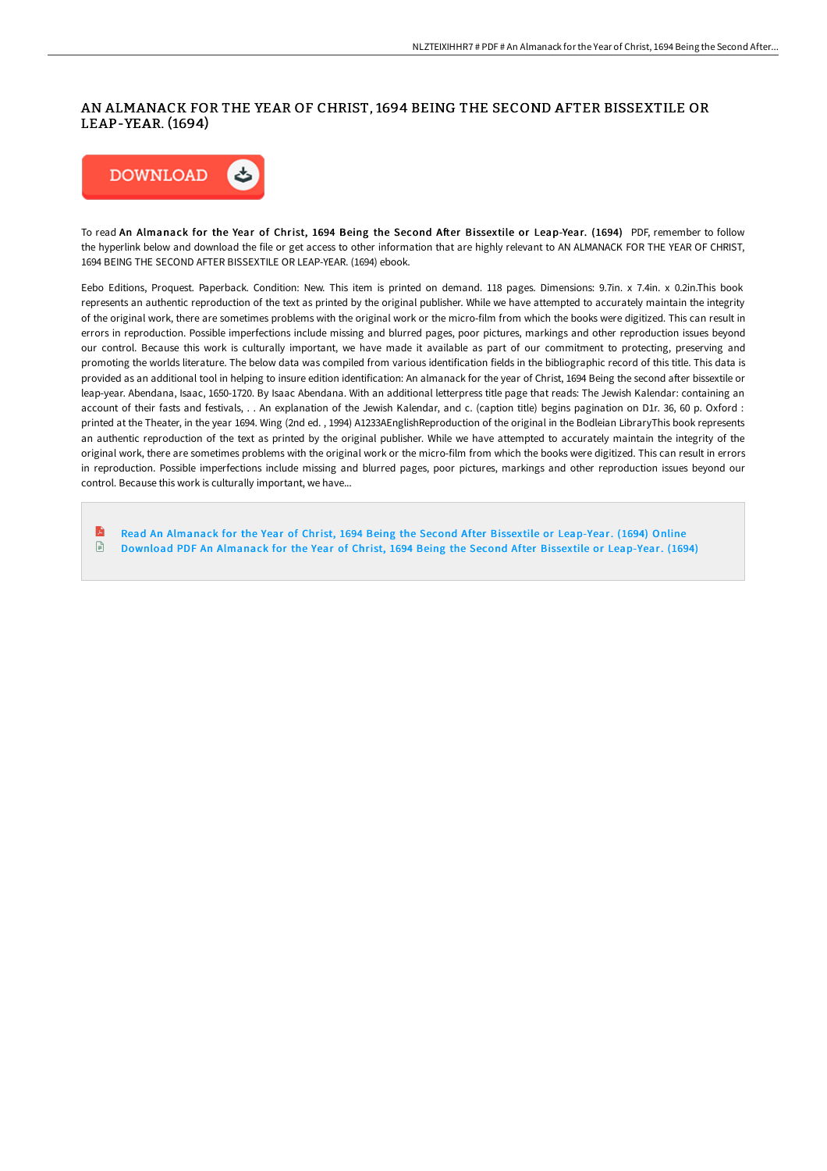## AN ALMANACK FOR THE YEAR OF CHRIST, 1694 BEING THE SECOND AFTER BISSEXTILE OR LEAP-YEAR. (1694)



To read An Almanack for the Year of Christ, 1694 Being the Second After Bissextile or Leap-Year. (1694) PDF, remember to follow the hyperlink below and download the file or get access to other information that are highly relevant to AN ALMANACK FOR THE YEAR OF CHRIST, 1694 BEING THE SECOND AFTER BISSEXTILE OR LEAP-YEAR. (1694) ebook.

Eebo Editions, Proquest. Paperback. Condition: New. This item is printed on demand. 118 pages. Dimensions: 9.7in. x 7.4in. x 0.2in.This book represents an authentic reproduction of the text as printed by the original publisher. While we have attempted to accurately maintain the integrity of the original work, there are sometimes problems with the original work or the micro-film from which the books were digitized. This can result in errors in reproduction. Possible imperfections include missing and blurred pages, poor pictures, markings and other reproduction issues beyond our control. Because this work is culturally important, we have made it available as part of our commitment to protecting, preserving and promoting the worlds literature. The below data was compiled from various identification fields in the bibliographic record of this title. This data is provided as an additional tool in helping to insure edition identification: An almanack for the year of Christ, 1694 Being the second after bissextile or leap-year. Abendana, Isaac, 1650-1720. By Isaac Abendana. With an additional letterpress title page that reads: The Jewish Kalendar: containing an account of their fasts and festivals, . . An explanation of the Jewish Kalendar, and c. (caption title) begins pagination on D1r. 36, 60 p. Oxford : printed at the Theater, in the year 1694. Wing (2nd ed. , 1994) A1233AEnglishReproduction of the original in the Bodleian LibraryThis book represents an authentic reproduction of the text as printed by the original publisher. While we have attempted to accurately maintain the integrity of the original work, there are sometimes problems with the original work or the micro-film from which the books were digitized. This can result in errors in reproduction. Possible imperfections include missing and blurred pages, poor pictures, markings and other reproduction issues beyond our control. Because this work is culturally important, we have...

R Read An Almanack for the Year of Christ, 1694 Being the Second After Bissextile or [Leap-Year.](http://albedo.media/an-almanack-for-the-year-of-christ-1694-being-th.html) (1694) Online Download PDF An Almanack for the Year of Christ, 1694 Being the Second After Bissextile or [Leap-Year.](http://albedo.media/an-almanack-for-the-year-of-christ-1694-being-th.html) (1694) $\Box$